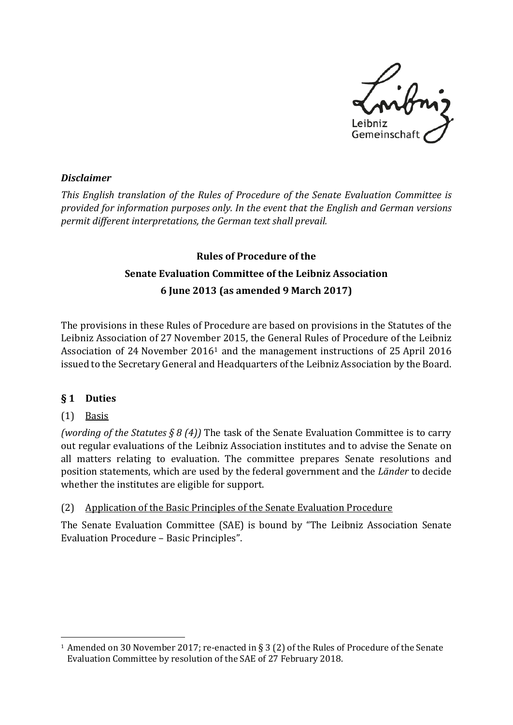

#### *Disclaimer*

*This English translation of the Rules of Procedure of the Senate Evaluation Committee is provided for information purposes only. In the event that the English and German versions permit different interpretations, the German text shall prevail.* 

# **Rules of Procedure of the Senate Evaluation Committee of the Leibniz Association 6 June 2013 (as amended 9 March 2017)**

The provisions in these Rules of Procedure are based on provisions in the Statutes of the Leibniz Association of 27 November 2015, the General Rules of Procedure of the Leibniz Association of 24 November 2016[1](#page-0-0) and the management instructions of 25 April 2016 issued to the Secretary General and Headquarters of the Leibniz Association by the Board.

### **§ 1 Duties**

### (1) Basis

*(wording of the Statutes § 8 (4))* The task of the Senate Evaluation Committee is to carry out regular evaluations of the Leibniz Association institutes and to advise the Senate on all matters relating to evaluation. The committee prepares Senate resolutions and position statements, which are used by the federal government and the *Länder* to decide whether the institutes are eligible for support.

### (2) Application of the Basic Principles of the Senate Evaluation Procedure

The Senate Evaluation Committee (SAE) is bound by "The Leibniz Association Senate Evaluation Procedure – Basic Principles".

<span id="page-0-0"></span><sup>-</sup>1 Amended on 30 November 2017; re-enacted in § 3 (2) of the Rules of Procedure of the Senate Evaluation Committee by resolution of the SAE of 27 February 2018.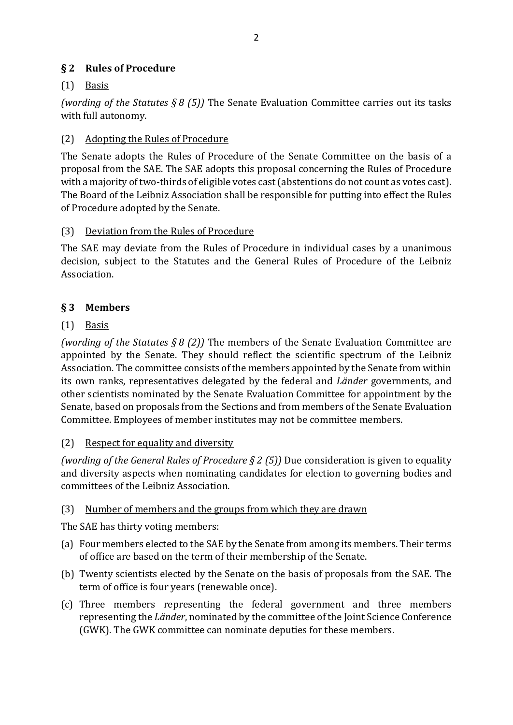## **§ 2 Rules of Procedure**

# $(1)$  Basis

*(wording of the Statutes § 8 (5))* The Senate Evaluation Committee carries out its tasks with full autonomy.

# (2) Adopting the Rules of Procedure

The Senate adopts the Rules of Procedure of the Senate Committee on the basis of a proposal from the SAE. The SAE adopts this proposal concerning the Rules of Procedure with a majority of two-thirds of eligible votes cast (abstentions do not count as votes cast). The Board of the Leibniz Association shall be responsible for putting into effect the Rules of Procedure adopted by the Senate.

### (3) Deviation from the Rules of Procedure

The SAE may deviate from the Rules of Procedure in individual cases by a unanimous decision, subject to the Statutes and the General Rules of Procedure of the Leibniz Association.

# **§ 3 Members**

# (1) Basis

*(wording of the Statutes § 8 (2))* The members of the Senate Evaluation Committee are appointed by the Senate. They should reflect the scientific spectrum of the Leibniz Association. The committee consists of the members appointed by the Senate from within its own ranks, representatives delegated by the federal and *Länder* governments, and other scientists nominated by the Senate Evaluation Committee for appointment by the Senate, based on proposals from the Sections and from members of the Senate Evaluation Committee. Employees of member institutes may not be committee members.

### (2) Respect for equality and diversity

*(wording of the General Rules of Procedure § 2 (5))* Due consideration is given to equality and diversity aspects when nominating candidates for election to governing bodies and committees of the Leibniz Association.

### (3) Number of members and the groups from which they are drawn

The SAE has thirty voting members:

- (a) Four members elected to the SAE by the Senate from among its members. Their terms of office are based on the term of their membership of the Senate.
- (b) Twenty scientists elected by the Senate on the basis of proposals from the SAE. The term of office is four years (renewable once).
- (c) Three members representing the federal government and three members representing the *Länder*, nominated by the committee of the Joint Science Conference (GWK). The GWK committee can nominate deputies for these members.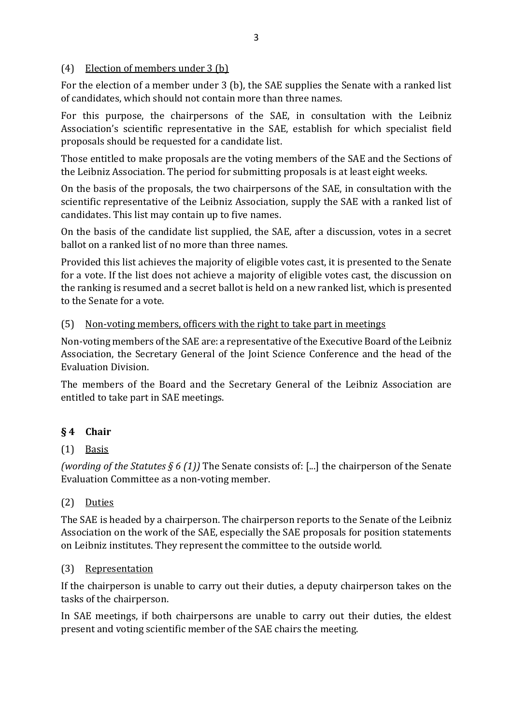#### (4) Election of members under 3 (b)

For the election of a member under 3 (b), the SAE supplies the Senate with a ranked list of candidates, which should not contain more than three names.

For this purpose, the chairpersons of the SAE, in consultation with the Leibniz Association's scientific representative in the SAE, establish for which specialist field proposals should be requested for a candidate list.

Those entitled to make proposals are the voting members of the SAE and the Sections of the Leibniz Association. The period for submitting proposals is at least eight weeks.

On the basis of the proposals, the two chairpersons of the SAE, in consultation with the scientific representative of the Leibniz Association, supply the SAE with a ranked list of candidates. This list may contain up to five names.

On the basis of the candidate list supplied, the SAE, after a discussion, votes in a secret ballot on a ranked list of no more than three names.

Provided this list achieves the majority of eligible votes cast, it is presented to the Senate for a vote. If the list does not achieve a majority of eligible votes cast, the discussion on the ranking is resumed and a secret ballot is held on a new ranked list, which is presented to the Senate for a vote.

### (5) Non-voting members, officers with the right to take part in meetings

Non-voting members of the SAE are: a representative of the Executive Board of the Leibniz Association, the Secretary General of the Joint Science Conference and the head of the Evaluation Division.

The members of the Board and the Secretary General of the Leibniz Association are entitled to take part in SAE meetings.

# **§ 4 Chair**

# (1) Basis

*(wording of the Statutes § 6 (1))* The Senate consists of: [...] the chairperson of the Senate Evaluation Committee as a non-voting member.

# (2) Duties

The SAE is headed by a chairperson. The chairperson reports to the Senate of the Leibniz Association on the work of the SAE, especially the SAE proposals for position statements on Leibniz institutes. They represent the committee to the outside world.

### (3) Representation

If the chairperson is unable to carry out their duties, a deputy chairperson takes on the tasks of the chairperson.

In SAE meetings, if both chairpersons are unable to carry out their duties, the eldest present and voting scientific member of the SAE chairs the meeting.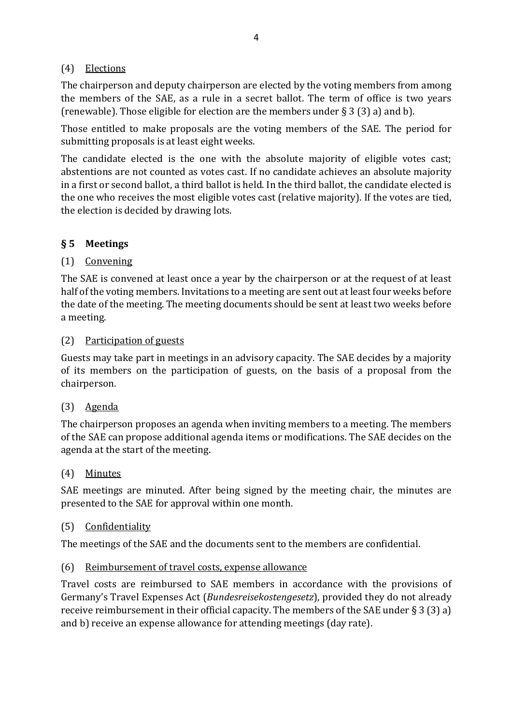## (4) Elections

The chairperson and deputy chairperson are elected by the voting members from among the members of the SAE, as a rule in a secret ballot. The term of office is two years (renewable). Those eligible for election are the members under  $\S 3(3)$  a) and b).

Those entitled to make proposals are the voting members of the SAE. The period for submitting proposals is at least eight weeks.

The candidate elected is the one with the absolute majority of eligible votes cast; abstentions are not counted as votes cast. If no candidate achieves an absolute majority in a first or second ballot, a third ballot is held. In the third ballot, the candidate elected is the one who receives the most eligible votes cast (relative majority). If the votes are tied, the election is decided by drawing lots.

# **§ 5 Meetings**

# (1) Convening

The SAE is convened at least once a year by the chairperson or at the request of at least half of the voting members. Invitations to a meeting are sent out at least four weeks before the date of the meeting. The meeting documents should be sent at least two weeks before a meeting.

### (2) Participation of guests

Guests may take part in meetings in an advisory capacity. The SAE decides by a majority of its members on the participation of guests, on the basis of a proposal from the chairperson.

### (3) Agenda

The chairperson proposes an agenda when inviting members to a meeting. The members of the SAE can propose additional agenda items or modifications. The SAE decides on the agenda at the start of the meeting.

### (4) Minutes

SAE meetings are minuted. After being signed by the meeting chair, the minutes are presented to the SAE for approval within one month.

### (5) Confidentiality

The meetings of the SAE and the documents sent to the members are confidential.

### (6) Reimbursement of travel costs, expense allowance

Travel costs are reimbursed to SAE members in accordance with the provisions of Germany's Travel Expenses Act (*Bundesreisekostengesetz*), provided they do not already receive reimbursement in their official capacity. The members of the SAE under § 3 (3) a) and b) receive an expense allowance for attending meetings (day rate).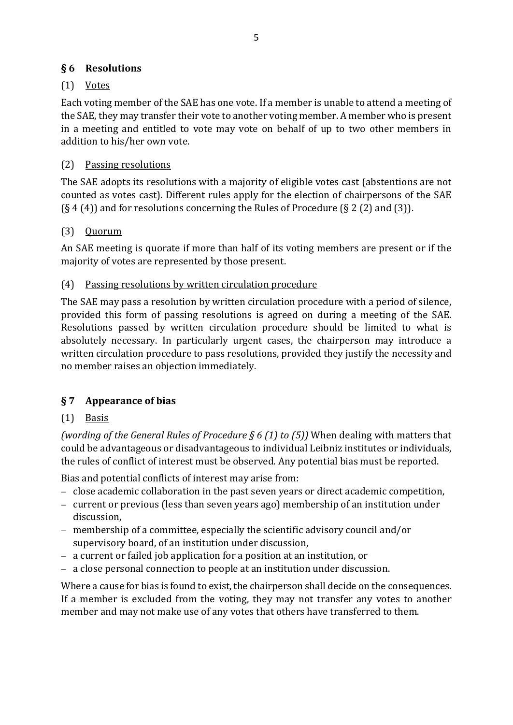## **§ 6 Resolutions**

# (1) Votes

Each voting member of the SAE has one vote. If a member is unable to attend a meeting of the SAE, they may transfer their vote to another voting member. A member who is present in a meeting and entitled to vote may vote on behalf of up to two other members in addition to his/her own vote.

# (2) Passing resolutions

The SAE adopts its resolutions with a majority of eligible votes cast (abstentions are not counted as votes cast). Different rules apply for the election of chairpersons of the SAE  $(S_4(4))$  and for resolutions concerning the Rules of Procedure  $(S_2(2))$  and  $(S_3)$ .

# (3) Quorum

An SAE meeting is quorate if more than half of its voting members are present or if the majority of votes are represented by those present.

# (4) Passing resolutions by written circulation procedure

The SAE may pass a resolution by written circulation procedure with a period of silence, provided this form of passing resolutions is agreed on during a meeting of the SAE. Resolutions passed by written circulation procedure should be limited to what is absolutely necessary. In particularly urgent cases, the chairperson may introduce a written circulation procedure to pass resolutions, provided they justify the necessity and no member raises an objection immediately.

# **§ 7 Appearance of bias**

# $(1)$  Basis

*(wording of the General Rules of Procedure § 6 (1) to (5))* When dealing with matters that could be advantageous or disadvantageous to individual Leibniz institutes or individuals, the rules of conflict of interest must be observed. Any potential bias must be reported.

Bias and potential conflicts of interest may arise from:

- − close academic collaboration in the past seven years or direct academic competition,
- − current or previous (less than seven years ago) membership of an institution under discussion,
- − membership of a committee, especially the scientific advisory council and/or supervisory board, of an institution under discussion,
- − a current or failed job application for a position at an institution, or
- − a close personal connection to people at an institution under discussion.

Where a cause for bias is found to exist, the chairperson shall decide on the consequences. If a member is excluded from the voting, they may not transfer any votes to another member and may not make use of any votes that others have transferred to them.